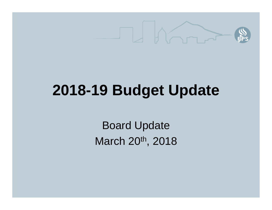

### **2018-19 Budget Update**

Board Update March 20<sup>th</sup>, 2018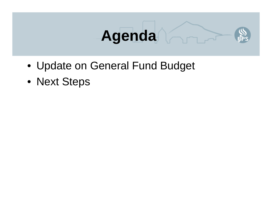

- Update on General Fund Budget
- Next Steps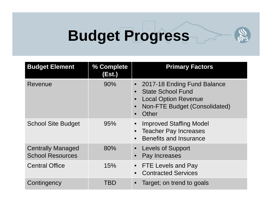### **Budget Progress**

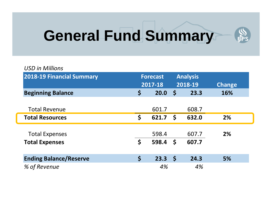### **General Fund Summary**



| <b>USD in Millions</b>           |                 |              |                 |               |
|----------------------------------|-----------------|--------------|-----------------|---------------|
| <b>2018-19 Financial Summary</b> | <b>Forecast</b> |              | <b>Analysis</b> |               |
|                                  | 2017-18         |              | 2018-19         | <b>Change</b> |
| <b>Beginning Balance</b>         | \$<br>20.0      | $\mathsf{S}$ | 23.3            | 16%           |
|                                  |                 |              |                 |               |
| <b>Total Revenue</b>             | 601.7           |              | 608.7           |               |
| <b>Total Resources</b>           | \$<br>621.7     | S.           | 632.0           | 2%            |
|                                  |                 |              |                 |               |
| <b>Total Expenses</b>            | 598.4           |              | 607.7           | 2%            |
| <b>Total Expenses</b>            | \$<br>598.4     | \$           | 607.7           |               |
| <b>Ending Balance/Reserve</b>    | \$<br>23.3      | $\mathsf{S}$ | 24.3            | 5%            |
| % of Revenue                     | 4%              |              | 4%              |               |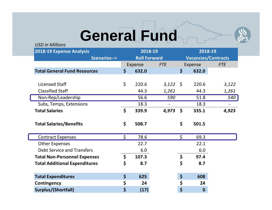### **General Fund**



*USD in Millions*

| <b>2018-19 Expense Analysis</b>      |                        | 2018-19             |         |            | 2018-19                    |                  |            |
|--------------------------------------|------------------------|---------------------|---------|------------|----------------------------|------------------|------------|
|                                      | <b>Scenarios--&gt;</b> | <b>Roll Forward</b> |         |            | <b>Vacancies/Contracts</b> |                  |            |
|                                      |                        |                     | Expense | <b>FTE</b> |                            | Expense          | <b>FTE</b> |
| <b>Total General Fund Resources</b>  |                        | \$                  | 632.0   |            | \$                         | 632.0            |            |
|                                      |                        |                     |         |            |                            |                  |            |
| <b>Licensed Staff</b>                |                        | \$                  | 220.6   | $3,122$ \$ |                            | 220.6            | 3,122      |
| <b>Classified Staff</b>              |                        |                     | 44.3    | 1,261      |                            | 44.3             | 1,261      |
| Non-Rep/Leadership                   |                        |                     | 56.6    | 590        |                            | 51.8             | 540        |
| Subs, Temps, Extensions              |                        |                     | 18.3    |            |                            | 18.3             |            |
| <b>Total Salaries</b>                |                        | \$                  | 339.9   | 4,973      | \$                         | 335.1            | 4,923      |
|                                      |                        |                     |         |            |                            |                  |            |
| <b>Total Salaries/Benefits</b>       |                        | \$                  | 508.7   |            | \$                         | 501.5            |            |
|                                      |                        |                     |         |            |                            |                  |            |
| <b>Contract Expenses</b>             |                        | \$                  | 78.6    |            | \$                         | 69.3             |            |
| <b>Other Expenses</b>                |                        |                     | 22.7    |            |                            | 22.1             |            |
| <b>Debt Service and Transfers</b>    |                        |                     | 6.0     |            |                            | 6.0              |            |
| <b>Total Non-Personnel Expenses</b>  |                        | \$                  | 107.3   |            | \$                         | 97.4             |            |
| <b>Total Additional Expenditures</b> |                        | \$                  | 8.7     |            | \$                         | 8.7              |            |
|                                      |                        |                     |         |            |                            |                  |            |
| <b>Total Expenditures</b>            |                        | $\zeta$             | 625     |            | \$                         | 608              |            |
| Contingency                          |                        | \$                  | 24      |            | \$                         | 24               |            |
| Surplus/(Shortfall)                  |                        | \$                  | (17)    |            | \$                         | $\boldsymbol{0}$ |            |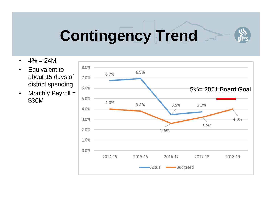## **Contingency Trend**

- $\bullet$  $4\% = 24M$
- $\bullet$  Equivalent to about 15 days of district spending
- $\bullet$  Monthly Payroll = \$30M

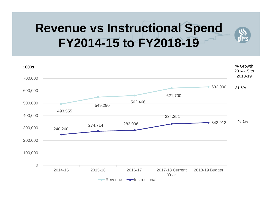### **Revenue vs Instructional Spend FY2014-15 to FY2018-19**

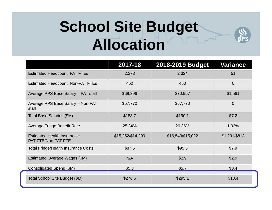### **School Site Budget Allocation**

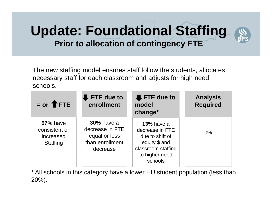#### **Update: Foundational Staffing Prior to allocation of contingency FTE**

The new staffing model ensures staff follow the students, allocates necessary staff for each classroom and adjusts for high need schools.

| $=$ or $\biguparrow$ FTE                                  | $\blacktriangleright$ FTE due to<br>enrollment                                       | $\bigoplus$ FTE due to<br>model<br>change*                                                                                  | <b>Analysis</b><br><b>Required</b> |
|-----------------------------------------------------------|--------------------------------------------------------------------------------------|-----------------------------------------------------------------------------------------------------------------------------|------------------------------------|
| <b>57%</b> have<br>consistent or<br>increased<br>Staffing | <b>30%</b> have a<br>decrease in FTE<br>equal or less<br>than enrollment<br>decrease | <b>13%</b> have a<br>decrease in FTE<br>due to shift of<br>equity \$ and<br>classroom staffing<br>to higher need<br>schools | $0\%$                              |

\* All schools in this category have a lower HU student population (less than 20%).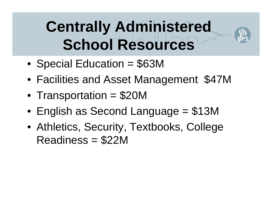### **Centrally Administered School Resources**

- •Special Education = \$63M
- •Facilities and Asset Management \$47M
- $\bullet$ Transportation = \$20M
- $\bullet$ English as Second Language = \$13M
- Athletics, Security, Textbooks, College Readiness = \$22M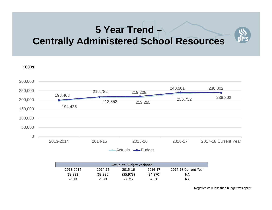#### **5 Year Trend – Centrally Administered School Resources**



| <b>Actual to Budget Variance</b> |          |           |           |                      |  |
|----------------------------------|----------|-----------|-----------|----------------------|--|
| 2013-2014                        | 2014-15  | 2015-16   | 2016-17   | 2017-18 Current Year |  |
| (53,983)                         | (53,930) | (55, 973) | (54, 870) | ΝA                   |  |
| $-2.0%$                          | $-1.8%$  | $-2.7%$   | $-2.0%$   | ΝA                   |  |

Negative #s = less than budget was spent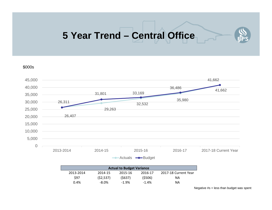#### **5 Year Trend – Central Office**





| <b>Actual to Budget Variance</b> |           |         |         |                      |  |  |
|----------------------------------|-----------|---------|---------|----------------------|--|--|
| 2013-2014                        | 2014-15   | 2015-16 | 2016-17 | 2017-18 Current Year |  |  |
| \$97                             | (52, 537) | (5637)  | (5506)  | ΝA                   |  |  |
| 0.4%                             | $-8.0\%$  | $-1.9%$ | $-1.4%$ | ΝA                   |  |  |

Negative #s = less than budget was spent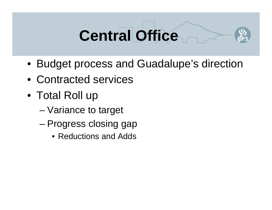## **Central Office**



- Budget process and Guadalupe's direction
- Contracted services
- Total Roll up
	- –Variance to target
	- – Progress closing gap
		- Reductions and Adds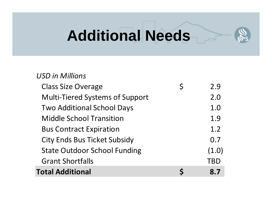## **Additional Needs**

| <b>USD in Millions</b>                 |             |       |
|----------------------------------------|-------------|-------|
| <b>Class Size Overage</b>              | $\mathsf S$ | 2.9   |
| <b>Multi-Tiered Systems of Support</b> |             | 2.0   |
| <b>Two Additional School Days</b>      |             | 1.0   |
| <b>Middle School Transition</b>        |             | 1.9   |
| <b>Bus Contract Expiration</b>         |             | 1.2   |
| <b>City Ends Bus Ticket Subsidy</b>    |             | 0.7   |
| <b>State Outdoor School Funding</b>    |             | (1.0) |
| <b>Grant Shortfalls</b>                |             | TBD   |
| <b>Total Additional</b>                |             | 8.7   |